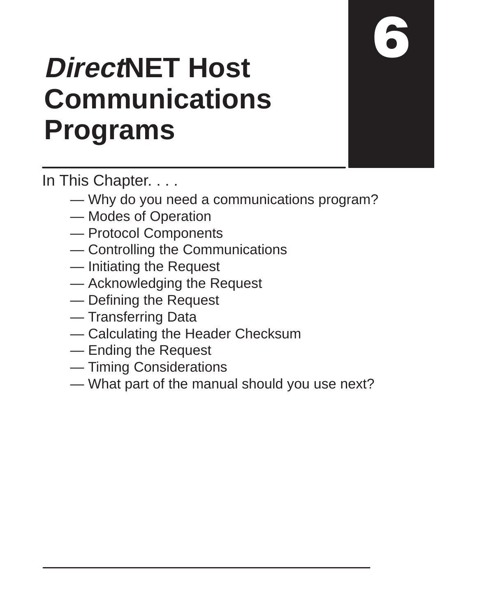# **DirectNET Host Communications Programs**

In This Chapter. . . .

- Why do you need a communications program?
- Modes of Operation
- Protocol Components
- Controlling the Communications
- Initiating the Request
- Acknowledging the Request
- Defining the Request
- Transferring Data
- Calculating the Header Checksum
- Ending the Request
- Timing Considerations
- What part of the manual should you use next?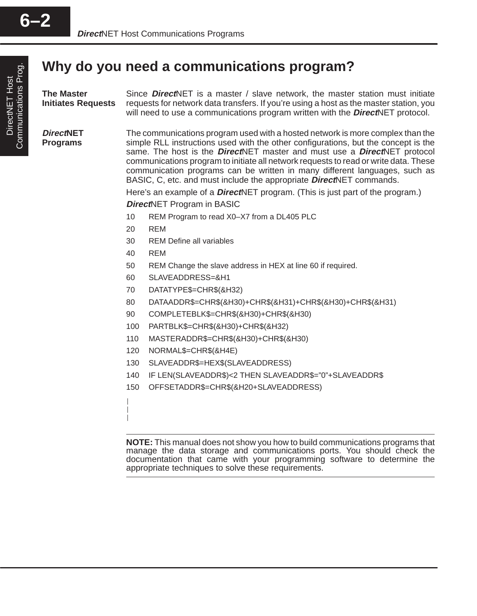#### **Why do you need a communications program?**

| <b>The Master</b><br><b>Initiates Requests</b> |                                                                                                                                                                                                                                                                                                                                                                                                                                                                                                                       | Since <b>Direct</b> NET is a master / slave network, the master station must initiate<br>requests for network data transfers. If you're using a host as the master station, you<br>will need to use a communications program written with the <b>Direct</b> NET protocol. |  |  |  |  |  |  |  |
|------------------------------------------------|-----------------------------------------------------------------------------------------------------------------------------------------------------------------------------------------------------------------------------------------------------------------------------------------------------------------------------------------------------------------------------------------------------------------------------------------------------------------------------------------------------------------------|---------------------------------------------------------------------------------------------------------------------------------------------------------------------------------------------------------------------------------------------------------------------------|--|--|--|--|--|--|--|
| <b>DirectNET</b><br><b>Programs</b>            | The communications program used with a hosted network is more complex than the<br>simple RLL instructions used with the other configurations, but the concept is the<br>same. The host is the <b>Direct</b> NET master and must use a <b>Direct</b> NET protocol<br>communications program to initiate all network requests to read or write data. These<br>communication programs can be written in many different languages, such as<br>BASIC, C, etc. and must include the appropriate <b>Direct</b> NET commands. |                                                                                                                                                                                                                                                                           |  |  |  |  |  |  |  |
|                                                |                                                                                                                                                                                                                                                                                                                                                                                                                                                                                                                       | Here's an example of a <b>DirectNET</b> program. (This is just part of the program.)                                                                                                                                                                                      |  |  |  |  |  |  |  |
|                                                |                                                                                                                                                                                                                                                                                                                                                                                                                                                                                                                       | <b>DirectNET Program in BASIC</b>                                                                                                                                                                                                                                         |  |  |  |  |  |  |  |
|                                                | 10                                                                                                                                                                                                                                                                                                                                                                                                                                                                                                                    | REM Program to read X0-X7 from a DL405 PLC                                                                                                                                                                                                                                |  |  |  |  |  |  |  |
|                                                | 20                                                                                                                                                                                                                                                                                                                                                                                                                                                                                                                    | <b>REM</b>                                                                                                                                                                                                                                                                |  |  |  |  |  |  |  |
|                                                | 30                                                                                                                                                                                                                                                                                                                                                                                                                                                                                                                    | <b>REM Define all variables</b>                                                                                                                                                                                                                                           |  |  |  |  |  |  |  |
|                                                | 40                                                                                                                                                                                                                                                                                                                                                                                                                                                                                                                    | <b>REM</b>                                                                                                                                                                                                                                                                |  |  |  |  |  |  |  |
|                                                | 50                                                                                                                                                                                                                                                                                                                                                                                                                                                                                                                    | REM Change the slave address in HEX at line 60 if required.                                                                                                                                                                                                               |  |  |  |  |  |  |  |
|                                                | 60                                                                                                                                                                                                                                                                                                                                                                                                                                                                                                                    | SLAVEADDRESS=&H1                                                                                                                                                                                                                                                          |  |  |  |  |  |  |  |
|                                                | 70                                                                                                                                                                                                                                                                                                                                                                                                                                                                                                                    | DATATYPE\$=CHR\$(&H32)                                                                                                                                                                                                                                                    |  |  |  |  |  |  |  |
|                                                | 80                                                                                                                                                                                                                                                                                                                                                                                                                                                                                                                    | DATAADDR\$=CHR\$(&H30)+CHR\$(&H31)+CHR\$(&H30)+CHR\$(&H31)                                                                                                                                                                                                                |  |  |  |  |  |  |  |
|                                                | 90                                                                                                                                                                                                                                                                                                                                                                                                                                                                                                                    | COMPLETEBLK\$=CHR\$(&H30)+CHR\$(&H30)                                                                                                                                                                                                                                     |  |  |  |  |  |  |  |
|                                                | 100                                                                                                                                                                                                                                                                                                                                                                                                                                                                                                                   | PARTBLK\$=CHR\$(&H30)+CHR\$(&H32)                                                                                                                                                                                                                                         |  |  |  |  |  |  |  |
|                                                | 110                                                                                                                                                                                                                                                                                                                                                                                                                                                                                                                   | MASTERADDR\$=CHR\$(&H30)+CHR\$(&H30)                                                                                                                                                                                                                                      |  |  |  |  |  |  |  |
|                                                | 120                                                                                                                                                                                                                                                                                                                                                                                                                                                                                                                   | NORMAL\$=CHR\$(&H4E)                                                                                                                                                                                                                                                      |  |  |  |  |  |  |  |
|                                                | 130                                                                                                                                                                                                                                                                                                                                                                                                                                                                                                                   | SLAVEADDR\$=HEX\$(SLAVEADDRESS)                                                                                                                                                                                                                                           |  |  |  |  |  |  |  |
|                                                |                                                                                                                                                                                                                                                                                                                                                                                                                                                                                                                       |                                                                                                                                                                                                                                                                           |  |  |  |  |  |  |  |
|                                                | 140                                                                                                                                                                                                                                                                                                                                                                                                                                                                                                                   | IF LEN(SLAVEADDR\$)<2 THEN SLAVEADDR\$="0"+SLAVEADDR\$                                                                                                                                                                                                                    |  |  |  |  |  |  |  |

150 OFFSETADDR\$=CHR\$(&H20+SLAVEADDRESS)

**NOTE:** This manual does not show you how to build communications programs that manage the data storage and communications ports. You should check the documentation that came with your programming software to determine the appropriate techniques to solve these requirements.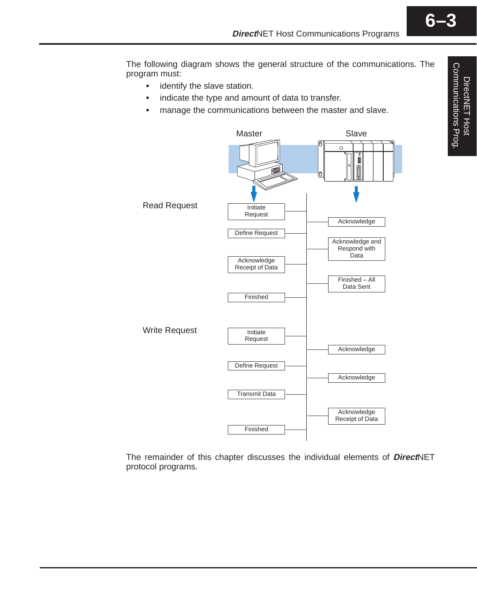The following diagram shows the general structure of the communications. The program must:

- identify the slave station.
- $\bullet$ indicate the type and amount of data to transfer.
- $\bullet$ manage the communications between the master and slave.



The remainder of this chapter discusses the individual elements of **Direct**NET protocol programs.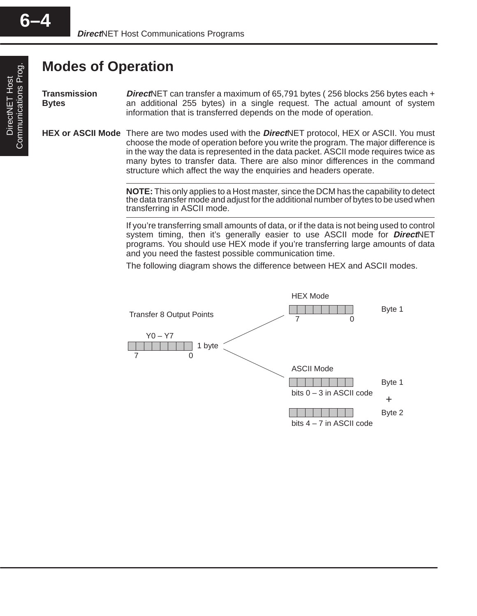#### **Modes of Operation**

**Direct**NET can transfer a maximum of 65,791 bytes ( 256 blocks 256 bytes each + an additional 255 bytes) in a single request. The actual amount of system information that is transferred depends on the mode of operation. **Transmission Bytes**

HEX or ASCII Mode There are two modes used with the *Direct*NET protocol, HEX or ASCII. You must choose the mode of operation before you write the program. The major difference is in the way the data is represented in the data packet. ASCII mode requires twice as many bytes to transfer data. There are also minor differences in the command structure which affect the way the enquiries and headers operate.

> **NOTE:** This only applies to a Host master, since the DCM has the capability to detect the data transfer mode and adjust for the additional number of bytes to be used when transferring in ASCII mode.

> If you're transferring small amounts of data, or if the data is not being used to control system timing, then it's generally easier to use ASCII mode for **Direct**NET programs. You should use HEX mode if you're transferring large amounts of data and you need the fastest possible communication time.

The following diagram shows the difference between HEX and ASCII modes.

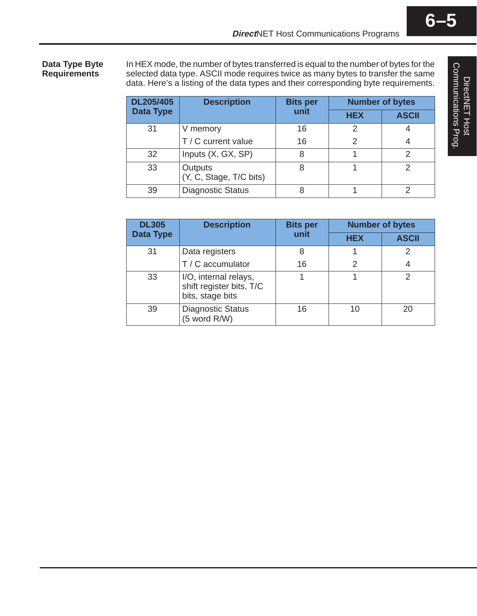**Data Type Byte Requirements**

In HEX mode, the number of bytes transferred is equal to the number of bytes for the selected data type. ASCII mode requires twice as many bytes to transfer the same data. Here's a listing of the data types and their corresponding byte requirements.

| DL205/405        | <b>Description</b>                 | <b>Bits per</b> | <b>Number of bytes</b> |              |  |  |
|------------------|------------------------------------|-----------------|------------------------|--------------|--|--|
| <b>Data Type</b> |                                    | unit            | <b>HEX</b>             | <b>ASCII</b> |  |  |
| 31               | V memory                           | 16              | 2                      |              |  |  |
|                  | T / C current value                | 16              | $\mathcal{P}$          |              |  |  |
| 32               | Inputs (X, GX, SP)                 | 8               |                        | っ            |  |  |
| 33               | Outputs<br>(Y, C, Stage, T/C bits) | 8               |                        | っ            |  |  |
| 39               | <b>Diagnostic Status</b>           | 8               |                        |              |  |  |

| <b>DL305</b>     | <b>Description</b>                                                    | <b>Bits per</b> | <b>Number of bytes</b> |              |  |  |
|------------------|-----------------------------------------------------------------------|-----------------|------------------------|--------------|--|--|
| <b>Data Type</b> |                                                                       | unit            | <b>HEX</b>             | <b>ASCII</b> |  |  |
| 31               | Data registers                                                        | 8               |                        |              |  |  |
|                  | T / C accumulator                                                     | 16              | 2                      | 4            |  |  |
| 33               | I/O, internal relays,<br>shift register bits, T/C<br>bits, stage bits |                 |                        |              |  |  |
| 39               | <b>Diagnostic Status</b><br>(5 word R/W)                              | 16              | 10                     | 20           |  |  |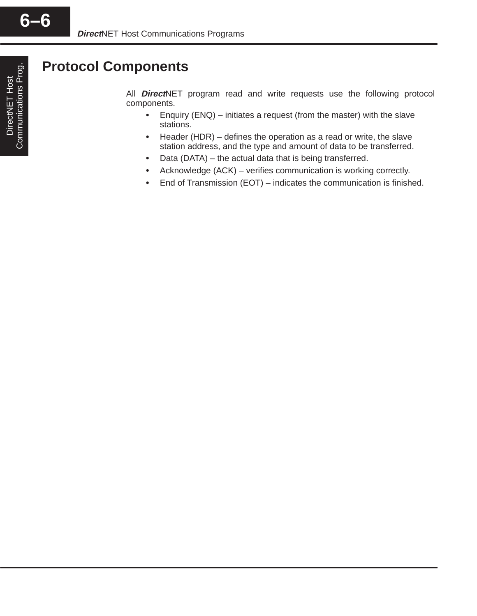#### **Protocol Components**

All **Direct**NET program read and write requests use the following protocol components.

- Enquiry (ENQ) initiates a request (from the master) with the slave stations.
- $\bullet$  Header (HDR) – defines the operation as a read or write, the slave station address, and the type and amount of data to be transferred.
- Data (DATA) the actual data that is being transferred.
- Acknowledge (ACK) verifies communication is working correctly.
- $\bullet$ End of Transmission (EOT) – indicates the communication is finished.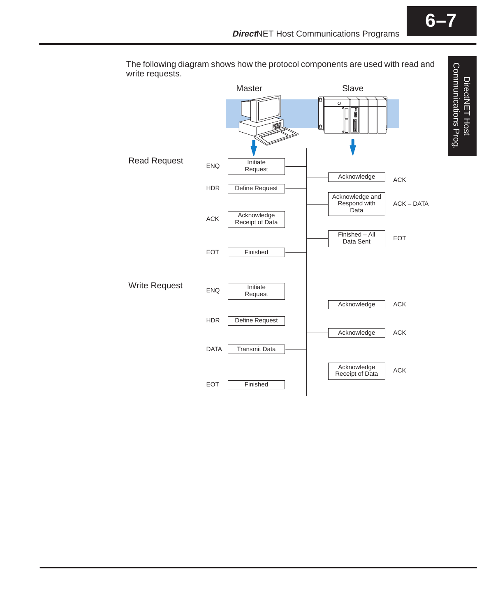

The following diagram shows how the protocol components are used with read and write requests.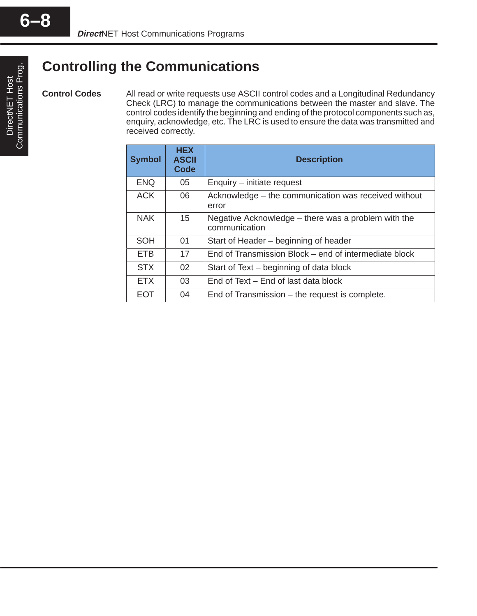**Control Codes**

## DirectNET Host<br>Communications Prog. Communications Prog. DirectNET Host

#### **Controlling the Communications**

All read or write requests use ASCII control codes and a Longitudinal Redundancy Check (LRC) to manage the communications between the master and slave. The control codes identify the beginning and ending of the protocol components such as, enquiry, acknowledge, etc. The LRC is used to ensure the data was transmitted and received correctly.

| <b>Symbol</b> | <b>HEX</b><br><b>ASCII</b><br><b>Code</b> | <b>Description</b>                                                   |
|---------------|-------------------------------------------|----------------------------------------------------------------------|
| <b>ENQ</b>    | 05                                        | Enquiry – initiate request                                           |
| <b>ACK</b>    | 06                                        | Acknowledge – the communication was received without<br>error        |
| <b>NAK</b>    | 15                                        | Negative Acknowledge – there was a problem with the<br>communication |
| <b>SOH</b>    | 01                                        | Start of Header – beginning of header                                |
| <b>ETB</b>    | 17                                        | End of Transmission Block – end of intermediate block                |
| <b>STX</b>    | 02                                        | Start of Text – beginning of data block                              |
| <b>ETX</b>    | 03                                        | End of Text – End of last data block                                 |
| EOT           | 04                                        | End of Transmission – the request is complete.                       |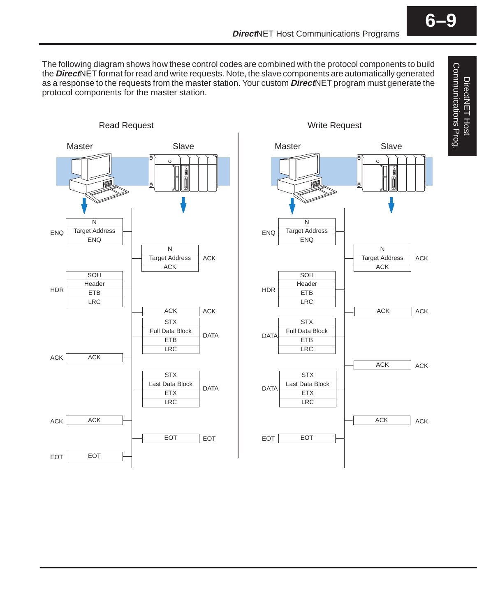DirectNET Host Communications Prog.

Communications Prog. DirectNET Host

The following diagram shows how these control codes are combined with the protocol components to build the **Direct**NET format for read and write requests. Note, the slave components are automatically generated as a response to the requests from the master station. Your custom **Direct**NET program must generate the protocol components for the master station.



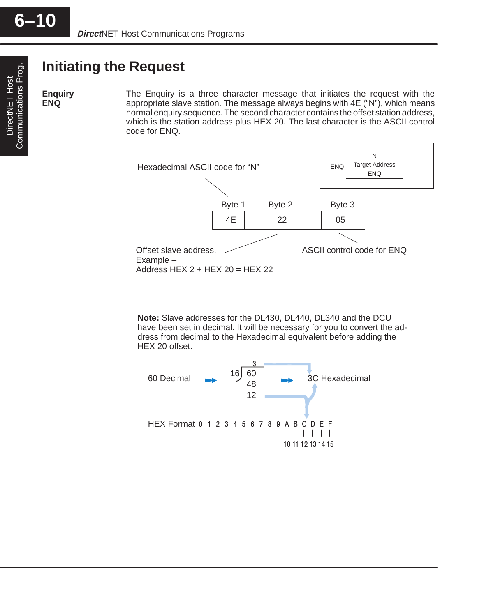#### **Initiating the Request**

**Enquiry ENQ**

The Enquiry is a three character message that initiates the request with the appropriate slave station. The message always begins with 4E ("N"), which means normal enquiry sequence. The second character contains the offset station address, which is the station address plus HEX 20. The last character is the ASCII control code for ENQ.



**Note:** Slave addresses for the DL430, DL440, DL340 and the DCU have been set in decimal. It will be necessary for you to convert the address from decimal to the Hexadecimal equivalent before adding the HEX 20 offset.

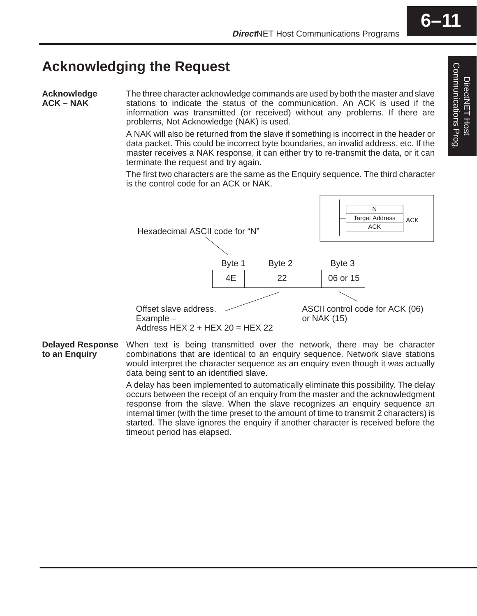#### **Acknowledging the Request**

**Acknowledge ACK – NAK**

The three character acknowledge commands are used by both the master and slave stations to indicate the status of the communication. An ACK is used if the information was transmitted (or received) without any problems. If there are problems, Not Acknowledge (NAK) is used.

A NAK will also be returned from the slave if something is incorrect in the header or data packet. This could be incorrect byte boundaries, an invalid address, etc. If the master receives a NAK response, it can either try to re-transmit the data, or it can terminate the request and try again.

The first two characters are the same as the Enquiry sequence. The third character is the control code for an ACK or NAK.



When text is being transmitted over the network, there may be character combinations that are identical to an enquiry sequence. Network slave stations would interpret the character sequence as an enquiry even though it was actually data being sent to an identified slave. **Delayed Response to an Enquiry**

> A delay has been implemented to automatically eliminate this possibility. The delay occurs between the receipt of an enquiry from the master and the acknowledgment response from the slave. When the slave recognizes an enquiry sequence an internal timer (with the time preset to the amount of time to transmit 2 characters) is started. The slave ignores the enquiry if another character is received before the timeout period has elapsed.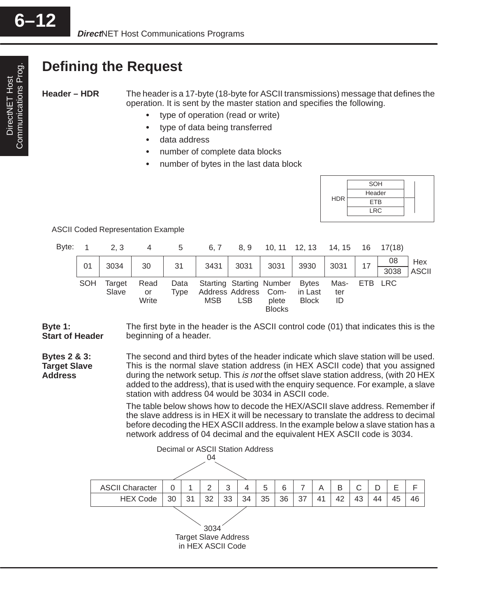#### **Defining the Request**

**Header – HDR**

**Address**

The header is a 17-byte (18-byte for ASCII transmissions) message that defines the operation. It is sent by the master station and specifies the following.

- type of operation (read or write)
- $\bullet$ type of data being transferred
- $\bullet$ data address
- $\bullet$ number of complete data blocks
- $\bullet$ number of bytes in the last data block



ASCII Coded Representation Example

| Byte: |            | 2, 3   | 4           | 5           | 6, 7       | 8.9                                | $10, 11$ $12, 13$ |                         | 14, 15    | 16  | 17(18)             |                     |
|-------|------------|--------|-------------|-------------|------------|------------------------------------|-------------------|-------------------------|-----------|-----|--------------------|---------------------|
|       | 01         | 3034   | 30          | 31          | 3431       | 3031                               | 3031              | 3930                    | 3031      | 17  | 08                 | Hex<br><b>ASCII</b> |
|       | <b>SOH</b> | Target | Read        | Data        |            | Starting Starting Number Bytes     |                   |                         | Mas-      | ETB | 3038<br><b>LRC</b> |                     |
|       |            | Slave  | or<br>Write | <b>Type</b> | <b>MSB</b> | Address Address Com-<br><b>LSB</b> | plete             | in Last<br><b>Block</b> | ter<br>ID |     |                    |                     |
|       |            |        |             |             |            |                                    | <b>Blocks</b>     |                         |           |     |                    |                     |

The first byte in the header is the ASCII control code (01) that indicates this is the beginning of a header. **Byte 1: Start of Header**

The second and third bytes of the header indicate which slave station will be used. This is the normal slave station address (in HEX ASCII code) that you assigned during the network setup. This is not the offset slave station address, (with 20 HEX added to the address), that is used with the enquiry sequence. For example, a slave station with address 04 would be 3034 in ASCII code. **Bytes 2 & 3: Target Slave**

> The table below shows how to decode the HEX/ASCII slave address. Remember if the slave address is in HEX it will be necessary to translate the address to decimal before decoding the HEX ASCII address. In the example below a slave station has a network address of 04 decimal and the equivalent HEX ASCII code is 3034.

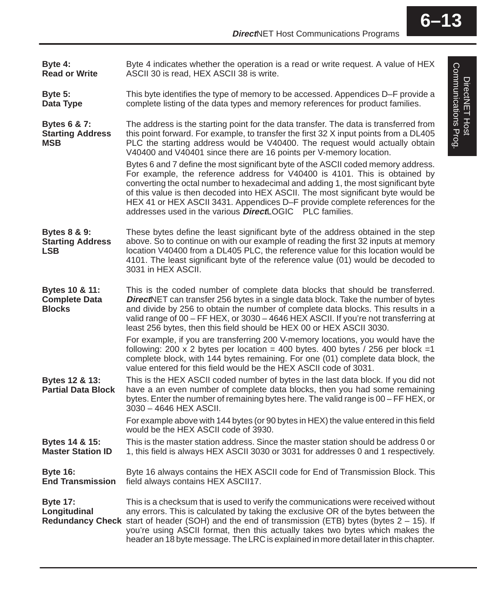Byte 4 indicates whether the operation is a read or write request. A value of HEX ASCII 30 is read, HEX ASCII 38 is write. This byte identifies the type of memory to be accessed. Appendices D–F provide a complete listing of the data types and memory references for product families. The address is the starting point for the data transfer. The data is transferred from this point forward. For example, to transfer the first 32 X input points from a DL405 PLC the starting address would be V40400. The request would actually obtain V40400 and V40401 since there are 16 points per V-memory location. Bytes 6 and 7 define the most significant byte of the ASCII coded memory address. For example, the reference address for V40400 is 4101. This is obtained by converting the octal number to hexadecimal and adding 1, the most significant byte of this value is then decoded into HEX ASCII. The most significant byte would be HEX 41 or HEX ASCII 3431. Appendices D–F provide complete references for the addresses used in the various **Direct**LOGIC<sup>™</sup> PLC families. These bytes define the least significant byte of the address obtained in the step above. So to continue on with our example of reading the first 32 inputs at memory location V40400 from a DL405 PLC, the reference value for this location would be 4101. The least significant byte of the reference value (01) would be decoded to 3031 in HEX ASCII. This is the coded number of complete data blocks that should be transferred. **Direct**NET can transfer 256 bytes in a single data block. Take the number of bytes and divide by 256 to obtain the number of complete data blocks. This results in a valid range of 00 – FF HEX, or 3030 – 4646 HEX ASCII. If you're not transferring at least 256 bytes, then this field should be HEX 00 or HEX ASCII 3030. For example, if you are transferring 200 V-memory locations, you would have the following: 200 x 2 bytes per location = 400 bytes. 400 bytes / 256 per block =1 complete block, with 144 bytes remaining. For one (01) complete data block, the value entered for this field would be the HEX ASCII code of 3031. This is the HEX ASCII coded number of bytes in the last data block. If you did not have a an even number of complete data blocks, then you had some remaining bytes. Enter the number of remaining bytes here. The valid range is 00 – FF HEX, or 3030 – 4646 HEX ASCII. For example above with 144 bytes (or 90 bytes in HEX) the value entered in this field would be the HEX ASCII code of 3930. This is the master station address. Since the master station should be address 0 or 1, this field is always HEX ASCII 3030 or 3031 for addresses 0 and 1 respectively. Byte 16 always contains the HEX ASCII code for End of Transmission Block. This field always contains HEX ASCII17. This is a checksum that is used to verify the communications were received without any errors. This is calculated by taking the exclusive OR of the bytes between the Redundancy Check start of header (SOH) and the end of transmission (ETB) bytes (bytes 2 - 15). If you're using ASCII format, then this actually takes two bytes which makes the header an 18 byte message. The LRC is explained in more detail later in this chapter. **Byte 4: Read or Write Byte 5: Data Type Bytes 6 & 7: Starting Address MSB Bytes 8 & 9: Starting Address LSB Bytes 10 & 11: Complete Data Blocks Bytes 12 & 13: Partial Data Block Bytes 14 & 15: Master Station ID Byte 16: End Transmission Byte 17: Longitudinal**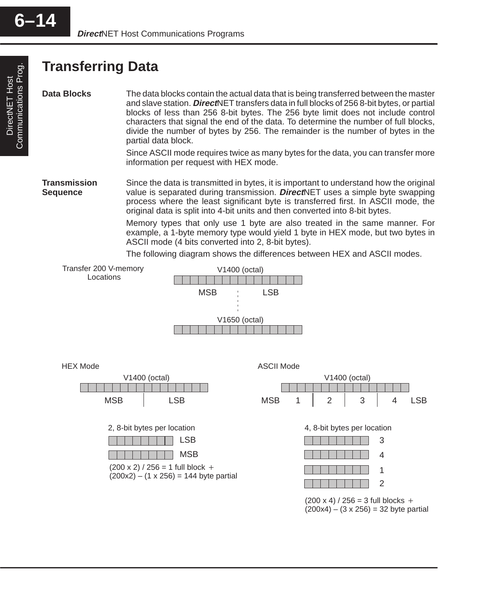DirectNET Host Communications Prog.

Communications Prog. DirectNET Host

#### **Transferring Data**

**Data Blocks**

The data blocks contain the actual data that is being transferred between the master and slave station. **Direct**NET transfers data in full blocks of 256 8-bit bytes, or partial blocks of less than 256 8-bit bytes. The 256 byte limit does not include control characters that signal the end of the data. To determine the number of full blocks, divide the number of bytes by 256. The remainder is the number of bytes in the partial data block.

Since ASCII mode requires twice as many bytes for the data, you can transfer more information per request with HEX mode.

Since the data is transmitted in bytes, it is important to understand how the original value is separated during transmission. **Direct**NET uses a simple byte swapping process where the least significant byte is transferred first. In ASCII mode, the original data is split into 4-bit units and then converted into 8-bit bytes. **Transmission Sequence**

> Memory types that only use 1 byte are also treated in the same manner. For example, a 1-byte memory type would yield 1 byte in HEX mode, but two bytes in ASCII mode (4 bits converted into 2, 8-bit bytes).

The following diagram shows the differences between HEX and ASCII modes.



 $(200 \times 4) / 256 = 3$  full blocks +  $(200x4) - (3 \times 256) = 32$  byte partial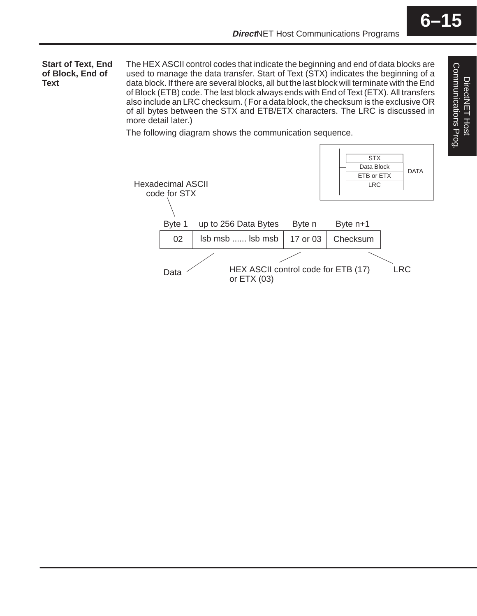The HEX ASCII control codes that indicate the beginning and end of data blocks are used to manage the data transfer. Start of Text (STX) indicates the beginning of a data block. If there are several blocks, all but the last block will terminate with the End of Block (ETB) code. The last block always ends with End of Text (ETX). All transfers also include an LRC checksum. ( For a data block, the checksum is the exclusive OR of all bytes between the STX and ETB/ETX characters. The LRC is discussed in more detail later.) **Start of Text, End of Block, End of Text**

The following diagram shows the communication sequence.

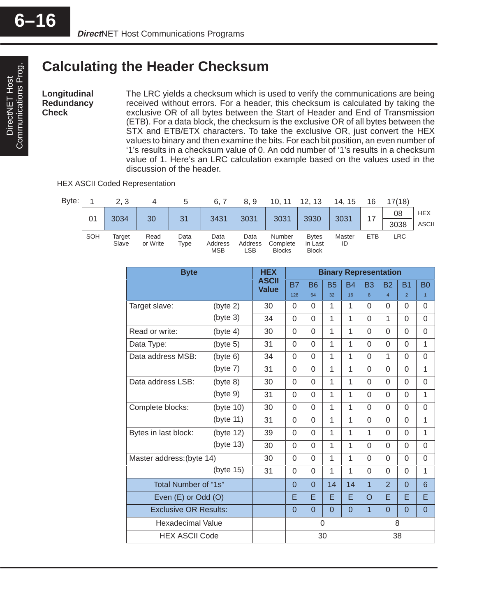#### **Calculating the Header Checksum**

**Longitudinal Redundancy Check**

The LRC yields a checksum which is used to verify the communications are being received without errors. For a header, this checksum is calculated by taking the exclusive OR of all bytes between the Start of Header and End of Transmission (ETB). For a data block, the checksum is the exclusive OR of all bytes between the STX and ETB/ETX characters. To take the exclusive OR, just convert the HEX values to binary and then examine the bits. For each bit position, an even number of '1's results in a checksum value of 0. An odd number of '1's results in a checksum value of 1. Here's an LRC calculation example based on the values used in the discussion of the header.

HEX ASCII Coded Representation



| <b>Byte</b>                  |           | <b>HEX</b>                   | <b>Binary Representation</b> |           |              |              |                |                |                |                |
|------------------------------|-----------|------------------------------|------------------------------|-----------|--------------|--------------|----------------|----------------|----------------|----------------|
|                              |           | <b>ASCII</b><br><b>Value</b> | <b>B7</b>                    | <b>B6</b> | <b>B5</b>    | <b>B4</b>    | <b>B3</b>      | <b>B2</b>      | <b>B1</b>      | B <sub>0</sub> |
|                              |           |                              | 128                          | 64        | 32           | 16           | 8              | $\overline{4}$ | $\overline{2}$ | $\overline{1}$ |
| Target slave:                | (byte 2)  | 30                           | $\Omega$                     | $\Omega$  | 1            | 1            | $\Omega$       | $\Omega$       | 0              | 0              |
|                              | (byte 3)  | 34                           | 0                            | $\Omega$  | $\mathbf{1}$ | 1            | 0              | $\mathbf{1}$   | 0              | 0              |
| Read or write:               | (byte 4)  | 30                           | $\Omega$                     | $\Omega$  | 1            | 1            | $\Omega$       | $\Omega$       | $\Omega$       | $\Omega$       |
| Data Type:                   | (byte 5)  | 31                           | $\Omega$                     | $\Omega$  | 1            | 1            | $\Omega$       | $\Omega$       | 0              | 1              |
| Data address MSB:            | (byte 6)  | 34                           | $\Omega$                     | $\Omega$  | $\mathbf{1}$ | $\mathbf{1}$ | $\Omega$       | $\mathbf{1}$   | $\Omega$       | $\Omega$       |
|                              | (byte 7)  | 31                           | $\Omega$                     | $\Omega$  | 1            | 1            | $\Omega$       | $\Omega$       | 0              | 1              |
| Data address LSB:            | (byte 8)  | 30                           | $\Omega$                     | $\Omega$  | $\mathbf{1}$ | 1            | $\Omega$       | $\Omega$       | 0              | $\Omega$       |
|                              | (byte 9)  | 31                           | $\Omega$                     | $\Omega$  | 1            | 1            | $\Omega$       | $\Omega$       | $\Omega$       | 1              |
| Complete blocks:             | (byte 10) | 30                           | 0                            | $\Omega$  | 1            | 1            | $\Omega$       | $\Omega$       | 0              | $\Omega$       |
|                              | (byte 11) | 31                           | $\Omega$                     | $\Omega$  | 1            | $\mathbf{1}$ | $\Omega$       | $\Omega$       | $\Omega$       | 1              |
| Bytes in last block:         | (byte 12) | 39                           | $\Omega$                     | $\Omega$  | 1            | 1            | $\mathbf{1}$   | $\Omega$       | 0              | 1              |
|                              | (byte 13) | 30                           | $\Omega$                     | $\Omega$  | 1            | 1            | $\Omega$       | $\Omega$       | 0              | $\Omega$       |
| Master address: (byte 14)    |           | 30                           | $\Omega$                     | $\Omega$  | 1            | 1            | $\Omega$       | $\Omega$       | $\Omega$       | $\Omega$       |
|                              | (byte 15) | 31                           | $\Omega$                     | $\Omega$  | 1            | 1            | $\Omega$       | $\Omega$       | $\Omega$       | 1              |
| Total Number of "1s"         |           |                              | $\Omega$                     | $\Omega$  | 14           | 14           | $\overline{1}$ | $\overline{2}$ | $\Omega$       | 6              |
| Even (E) or Odd (O)          |           |                              | E                            | E         | E            | E            | $\circ$        | E              | E              | E              |
| <b>Exclusive OR Results:</b> |           |                              | $\Omega$                     | $\Omega$  | $\Omega$     | $\Omega$     | $\overline{1}$ | $\overline{0}$ | $\Omega$       | $\overline{0}$ |
| Hexadecimal Value            |           |                              | $\Omega$                     |           |              |              | 8              |                |                |                |
| <b>HEX ASCII Code</b>        |           |                              | 30                           |           |              | 38           |                |                |                |                |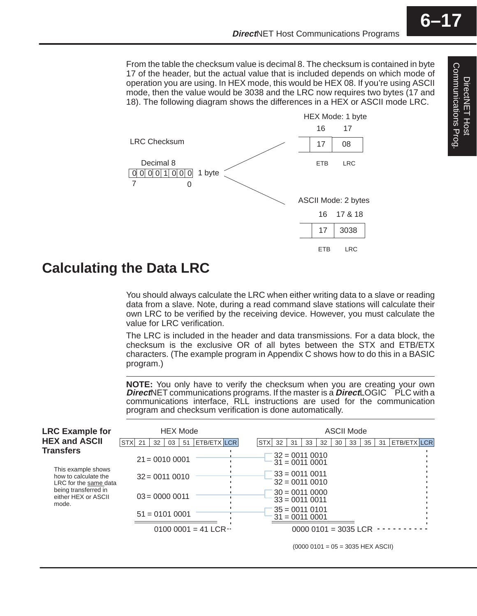From the table the checksum value is decimal 8. The checksum is contained in byte 17 of the header, but the actual value that is included depends on which mode of operation you are using. In HEX mode, this would be HEX 08. If you're using ASCII mode, then the value would be 3038 and the LRC now requires two bytes (17 and 18). The following diagram shows the differences in a HEX or ASCII mode LRC.



#### **Calculating the Data LRC**

You should always calculate the LRC when either writing data to a slave or reading data from a slave. Note, during a read command slave stations will calculate their own LRC to be verified by the receiving device. However, you must calculate the value for LRC verification.

The LRC is included in the header and data transmissions. For a data block, the checksum is the exclusive OR of all bytes between the STX and ETB/ETX characters. (The example program in Appendix C shows how to do this in a BASIC program.)

**NOTE:** You only have to verify the checksum when you are creating your own **Direct**NET communications programs. If the master is a **Direct**LOGIC™ PLC with a communications interface, RLL instructions are used for the communication program and checksum verification is done automatically.

| <b>LRC Example for</b>                                                                                                                   | <b>HEX Mode</b>                                                                                        | <b>ASCII Mode</b>                                                                                                                                                             |  |  |  |  |  |  |  |
|------------------------------------------------------------------------------------------------------------------------------------------|--------------------------------------------------------------------------------------------------------|-------------------------------------------------------------------------------------------------------------------------------------------------------------------------------|--|--|--|--|--|--|--|
| <b>HEX and ASCII</b>                                                                                                                     | STX <sub>21</sub><br>ETB/ETX LCR<br>32<br>03<br>-51                                                    | ETB/ETX LCR<br><b>STX</b><br>35<br>32<br>33<br>30<br>33<br>31<br>32<br>31                                                                                                     |  |  |  |  |  |  |  |
| Transfers<br>This example shows<br>how to calculate the<br>LRC for the same data<br>being transferred in<br>either HEX or ASCII<br>mode. | $21 = 00100001$<br>$32 = 00110010$<br>$03 = 00000011$<br>$51 = 01010001$<br>0100 0001 = 41 LCR $\cdot$ | $32 = 00110010$<br>$31 = 0011 0001$<br>$33 = 00110011$<br>$32 = 00110010$<br>$30 = 00110000$<br>$33 = 00110011$<br>$35 = 001101$<br>$31 = 0011 0001$<br>$00000101 = 3035$ LCR |  |  |  |  |  |  |  |
|                                                                                                                                          |                                                                                                        |                                                                                                                                                                               |  |  |  |  |  |  |  |

 $(0000 0101 = 05 = 3035$  HEX ASCII)

**6–17**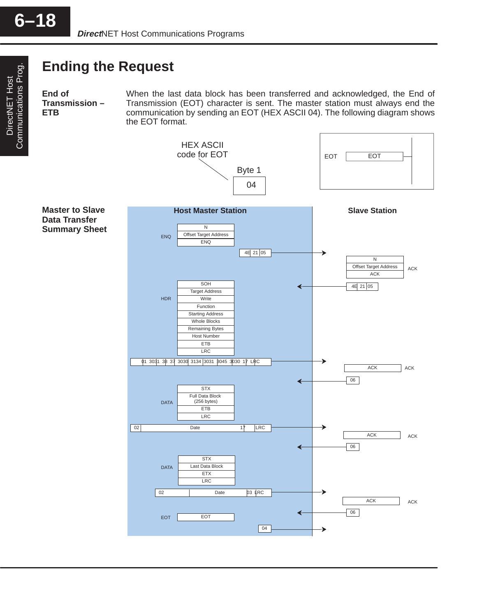DirectNET Host Communications Prog.

DirectNET Host<br>Communications Prog.

#### **Ending the Request**

**End of Transmission – ETB**

When the last data block has been transferred and acknowledged, the End of Transmission (EOT) character is sent. The master station must always end the communication by sending an EOT (HEX ASCII 04). The following diagram shows the EOT format.

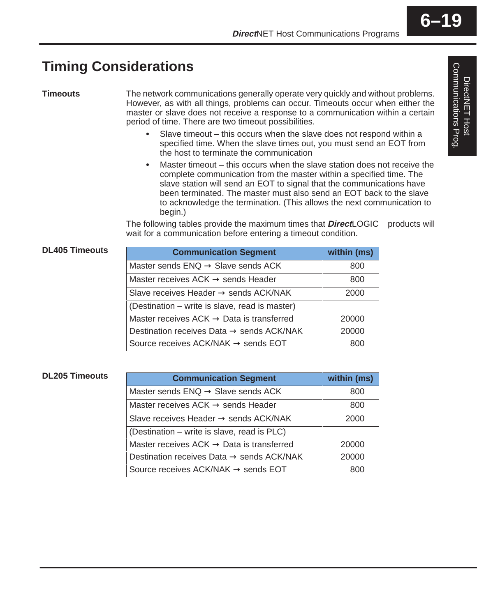### **Timing Considerations**

**Timeouts**

The network communications generally operate very quickly and without problems. However, as with all things, problems can occur. Timeouts occur when either the master or slave does not receive a response to a communication within a certain period of time. There are two timeout possibilities.

- Slave timeout this occurs when the slave does not respond within a specified time. When the slave times out, you must send an EOT from the host to terminate the communication
- Master timeout this occurs when the slave station does not receive the complete communication from the master within a specified time. The slave station will send an EOT to signal that the communications have been terminated. The master must also send an EOT back to the slave to acknowledge the termination. (This allows the next communication to begin.)

The following tables provide the maximum times that  $DirectLOGIC^{\mathsf{TM}}$  products will wait for a communication before entering a timeout condition.

#### **DL405 Timeouts**

| <b>Communication Segment</b>                          | within (ms) |
|-------------------------------------------------------|-------------|
| Master sends $ENQ \rightarrow$ Slave sends ACK        | 800         |
| Master receives $ACK \rightarrow$ sends Header        | 800         |
| Slave receives Header $\rightarrow$ sends ACK/NAK     | 2000        |
| (Destination – write is slave, read is master)        |             |
| Master receives $ACK \rightarrow Data$ is transferred | 20000       |
| Destination receives Data $\rightarrow$ sends ACK/NAK | 20000       |
| Source receives ACK/NAK $\rightarrow$ sends EOT       | 800         |

| <b>DL205 Timeouts</b> | <b>Communication Segment</b>                          | within (ms) |
|-----------------------|-------------------------------------------------------|-------------|
|                       | Master sends $ENQ \rightarrow$ Slave sends ACK        | 800         |
|                       | Master receives $ACK \rightarrow$ sends Header        | 800         |
|                       | Slave receives Header $\rightarrow$ sends ACK/NAK     | 2000        |
|                       | (Destination – write is slave, read is PLC)           |             |
|                       | Master receives $ACK \rightarrow Data$ is transferred | 20000       |
|                       | Destination receives Data $\rightarrow$ sends ACK/NAK | 20000       |
|                       | Source receives ACK/NAK $\rightarrow$ sends EOT       | 800         |

### Communications Prog. Communications Prog. DirectNET Host DirectNET Host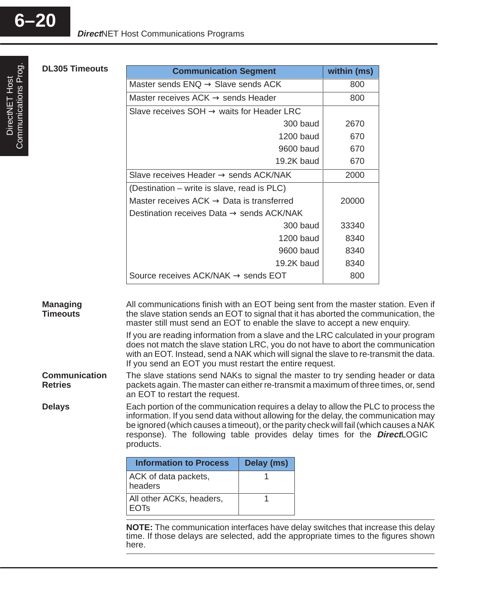| <b>DL305 Timeouts</b>                                                        | <b>Communication Segment</b>                                                                                                                                                                                                                                                                                                                                                                                                                                                                                                                                                                                                                                                                                                                                                                     |                                                       | within (ms) |  |  |  |  |  |  |
|------------------------------------------------------------------------------|--------------------------------------------------------------------------------------------------------------------------------------------------------------------------------------------------------------------------------------------------------------------------------------------------------------------------------------------------------------------------------------------------------------------------------------------------------------------------------------------------------------------------------------------------------------------------------------------------------------------------------------------------------------------------------------------------------------------------------------------------------------------------------------------------|-------------------------------------------------------|-------------|--|--|--|--|--|--|
|                                                                              | Master sends $ENQ \rightarrow$ Slave sends ACK                                                                                                                                                                                                                                                                                                                                                                                                                                                                                                                                                                                                                                                                                                                                                   |                                                       | 800         |  |  |  |  |  |  |
|                                                                              |                                                                                                                                                                                                                                                                                                                                                                                                                                                                                                                                                                                                                                                                                                                                                                                                  | Master receives $ACK \rightarrow$ sends Header<br>800 |             |  |  |  |  |  |  |
|                                                                              | Slave receives $SOH \rightarrow$ waits for Header LRC                                                                                                                                                                                                                                                                                                                                                                                                                                                                                                                                                                                                                                                                                                                                            |                                                       |             |  |  |  |  |  |  |
|                                                                              |                                                                                                                                                                                                                                                                                                                                                                                                                                                                                                                                                                                                                                                                                                                                                                                                  | 300 baud                                              | 2670        |  |  |  |  |  |  |
|                                                                              |                                                                                                                                                                                                                                                                                                                                                                                                                                                                                                                                                                                                                                                                                                                                                                                                  | <b>1200 baud</b>                                      | 670         |  |  |  |  |  |  |
|                                                                              |                                                                                                                                                                                                                                                                                                                                                                                                                                                                                                                                                                                                                                                                                                                                                                                                  | 9600 baud                                             | 670         |  |  |  |  |  |  |
|                                                                              |                                                                                                                                                                                                                                                                                                                                                                                                                                                                                                                                                                                                                                                                                                                                                                                                  | 19.2K baud                                            | 670         |  |  |  |  |  |  |
|                                                                              | Slave receives Header $\rightarrow$ sends ACK/NAK                                                                                                                                                                                                                                                                                                                                                                                                                                                                                                                                                                                                                                                                                                                                                |                                                       | 2000        |  |  |  |  |  |  |
|                                                                              | (Destination – write is slave, read is PLC)                                                                                                                                                                                                                                                                                                                                                                                                                                                                                                                                                                                                                                                                                                                                                      |                                                       |             |  |  |  |  |  |  |
|                                                                              | Master receives $ACK \rightarrow Data$ is transferred                                                                                                                                                                                                                                                                                                                                                                                                                                                                                                                                                                                                                                                                                                                                            |                                                       | 20000       |  |  |  |  |  |  |
|                                                                              | Destination receives Data $\rightarrow$ sends ACK/NAK                                                                                                                                                                                                                                                                                                                                                                                                                                                                                                                                                                                                                                                                                                                                            |                                                       |             |  |  |  |  |  |  |
|                                                                              |                                                                                                                                                                                                                                                                                                                                                                                                                                                                                                                                                                                                                                                                                                                                                                                                  | 300 baud                                              | 33340       |  |  |  |  |  |  |
|                                                                              |                                                                                                                                                                                                                                                                                                                                                                                                                                                                                                                                                                                                                                                                                                                                                                                                  | <b>1200 baud</b>                                      | 8340        |  |  |  |  |  |  |
|                                                                              |                                                                                                                                                                                                                                                                                                                                                                                                                                                                                                                                                                                                                                                                                                                                                                                                  | 9600 baud                                             | 8340        |  |  |  |  |  |  |
|                                                                              |                                                                                                                                                                                                                                                                                                                                                                                                                                                                                                                                                                                                                                                                                                                                                                                                  | 19.2K baud                                            | 8340        |  |  |  |  |  |  |
|                                                                              | Source receives ACK/NAK $\rightarrow$ sends EOT                                                                                                                                                                                                                                                                                                                                                                                                                                                                                                                                                                                                                                                                                                                                                  |                                                       | 800         |  |  |  |  |  |  |
| <b>Managing</b><br><b>Timeouts</b><br><b>Communication</b><br><b>Retries</b> | All communications finish with an EOT being sent from the master station. Even if<br>the slave station sends an EOT to signal that it has aborted the communication, the<br>master still must send an EOT to enable the slave to accept a new enquiry.<br>If you are reading information from a slave and the LRC calculated in your program<br>does not match the slave station LRC, you do not have to abort the communication<br>with an EOT. Instead, send a NAK which will signal the slave to re-transmit the data.<br>If you send an EOT you must restart the entire request.<br>The slave stations send NAKs to signal the master to try sending header or data<br>packets again. The master can either re-transmit a maximum of three times, or, send<br>an EOT to restart the request. |                                                       |             |  |  |  |  |  |  |
| <b>Delays</b>                                                                | Each portion of the communication requires a delay to allow the PLC to process the<br>information. If you send data without allowing for the delay, the communication may<br>be ignored (which causes a timeout), or the parity check will fail (which causes a NAK<br>response). The following table provides delay times for the <i>Direct</i> LOGIC <sup>™</sup><br>products.                                                                                                                                                                                                                                                                                                                                                                                                                 |                                                       |             |  |  |  |  |  |  |
|                                                                              | <b>Information to Process</b>                                                                                                                                                                                                                                                                                                                                                                                                                                                                                                                                                                                                                                                                                                                                                                    | Delay (ms)                                            |             |  |  |  |  |  |  |
|                                                                              | ACK of data packets,<br>headers                                                                                                                                                                                                                                                                                                                                                                                                                                                                                                                                                                                                                                                                                                                                                                  | 1                                                     |             |  |  |  |  |  |  |
|                                                                              | All other ACKs, headers,<br><b>EOTs</b>                                                                                                                                                                                                                                                                                                                                                                                                                                                                                                                                                                                                                                                                                                                                                          | 1                                                     |             |  |  |  |  |  |  |
|                                                                              | NOTE: The communication interfaces have delay switches that increase this delay<br>time. If those delays are selected, add the appropriate times to the figures shown<br>here.                                                                                                                                                                                                                                                                                                                                                                                                                                                                                                                                                                                                                   |                                                       |             |  |  |  |  |  |  |

**6–20**